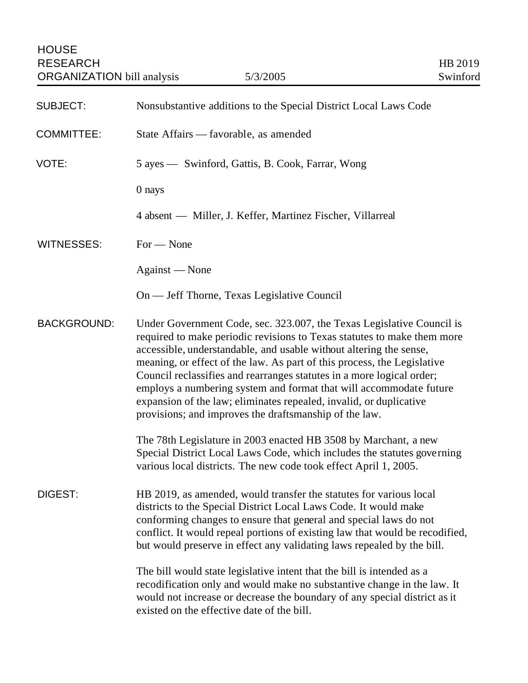| <b>SUBJECT:</b>    | Nonsubstantive additions to the Special District Local Laws Code                                                                                                                                                                                                                                                                                                                                                                                                                                                                                                                 |
|--------------------|----------------------------------------------------------------------------------------------------------------------------------------------------------------------------------------------------------------------------------------------------------------------------------------------------------------------------------------------------------------------------------------------------------------------------------------------------------------------------------------------------------------------------------------------------------------------------------|
| <b>COMMITTEE:</b>  | State Affairs - favorable, as amended                                                                                                                                                                                                                                                                                                                                                                                                                                                                                                                                            |
| VOTE:              | 5 ayes — Swinford, Gattis, B. Cook, Farrar, Wong                                                                                                                                                                                                                                                                                                                                                                                                                                                                                                                                 |
|                    | 0 nays                                                                                                                                                                                                                                                                                                                                                                                                                                                                                                                                                                           |
|                    | 4 absent — Miller, J. Keffer, Martinez Fischer, Villarreal                                                                                                                                                                                                                                                                                                                                                                                                                                                                                                                       |
| <b>WITNESSES:</b>  | $For - None$                                                                                                                                                                                                                                                                                                                                                                                                                                                                                                                                                                     |
|                    | Against — None                                                                                                                                                                                                                                                                                                                                                                                                                                                                                                                                                                   |
|                    | On — Jeff Thorne, Texas Legislative Council                                                                                                                                                                                                                                                                                                                                                                                                                                                                                                                                      |
| <b>BACKGROUND:</b> | Under Government Code, sec. 323.007, the Texas Legislative Council is<br>required to make periodic revisions to Texas statutes to make them more<br>accessible, understandable, and usable without altering the sense,<br>meaning, or effect of the law. As part of this process, the Legislative<br>Council reclassifies and rearranges statutes in a more logical order;<br>employs a numbering system and format that will accommodate future<br>expansion of the law; eliminates repealed, invalid, or duplicative<br>provisions; and improves the draftsmanship of the law. |
|                    | The 78th Legislature in 2003 enacted HB 3508 by Marchant, a new<br>Special District Local Laws Code, which includes the statutes governing<br>various local districts. The new code took effect April 1, 2005.                                                                                                                                                                                                                                                                                                                                                                   |
| DIGEST:            | HB 2019, as amended, would transfer the statutes for various local<br>districts to the Special District Local Laws Code. It would make<br>conforming changes to ensure that general and special laws do not<br>conflict. It would repeal portions of existing law that would be recodified,<br>but would preserve in effect any validating laws repealed by the bill.                                                                                                                                                                                                            |
|                    | The bill would state legislative intent that the bill is intended as a<br>recodification only and would make no substantive change in the law. It<br>would not increase or decrease the boundary of any special district as it<br>existed on the effective date of the bill.                                                                                                                                                                                                                                                                                                     |